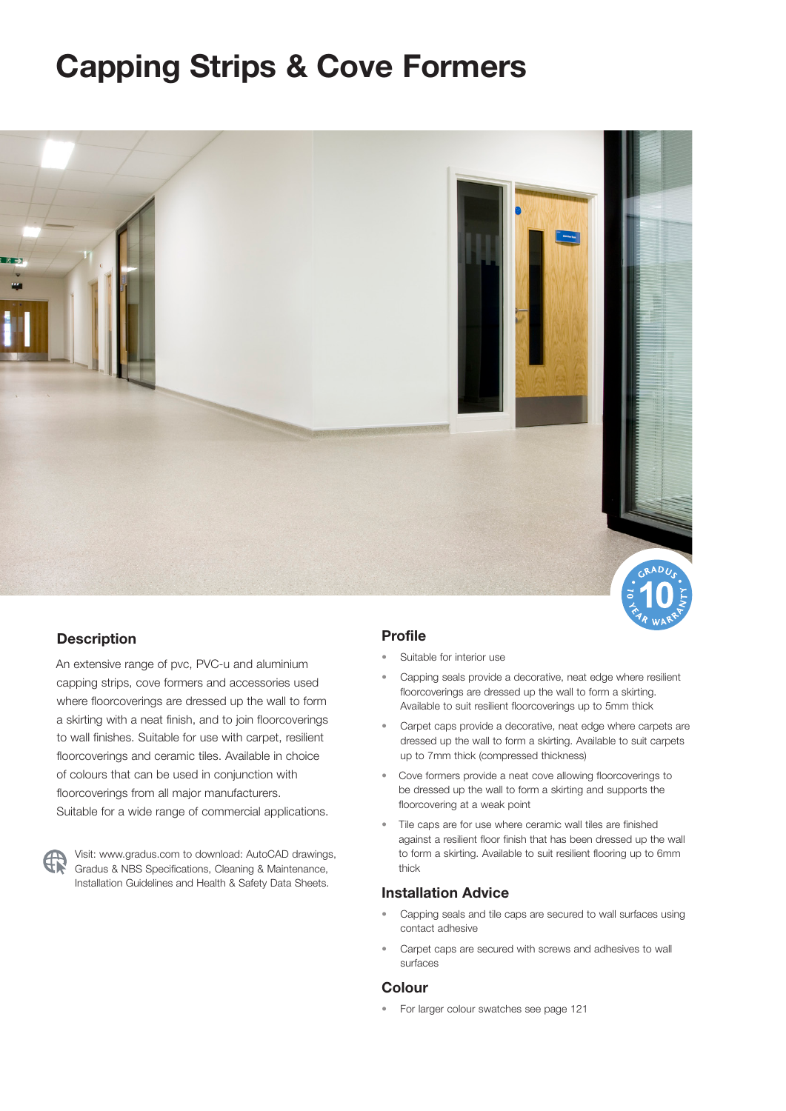# **Capping Strips & Cove Formers**



#### **Description**

An extensive range of pvc, PVC-u and aluminium capping strips, cove formers and accessories used where floorcoverings are dressed up the wall to form a skirting with a neat finish, and to join floorcoverings to wall finishes. Suitable for use with carpet, resilient floorcoverings and ceramic tiles. Available in choice of colours that can be used in conjunction with floorcoverings from all major manufacturers. Suitable for a wide range of commercial applications.

Visit: www.gradus.com to download: AutoCAD drawings, Gradus & NBS Specifications, Cleaning & Maintenance, Installation Guidelines and Health & Safety Data Sheets.

#### **Profile**

- Suitable for interior use
- Capping seals provide a decorative, neat edge where resilient floorcoverings are dressed up the wall to form a skirting. Available to suit resilient floorcoverings up to 5mm thick
- Carpet caps provide a decorative, neat edge where carpets are dressed up the wall to form a skirting. Available to suit carpets up to 7mm thick (compressed thickness)
- Cove formers provide a neat cove allowing floorcoverings to be dressed up the wall to form a skirting and supports the floorcovering at a weak point
- Tile caps are for use where ceramic wall tiles are finished against a resilient floor finish that has been dressed up the wall to form a skirting. Available to suit resilient flooring up to 6mm thick

#### **Installation Advice**

- Capping seals and tile caps are secured to wall surfaces using contact adhesive
- Carpet caps are secured with screws and adhesives to wall surfaces

#### **Colour**

• For larger colour swatches see page 121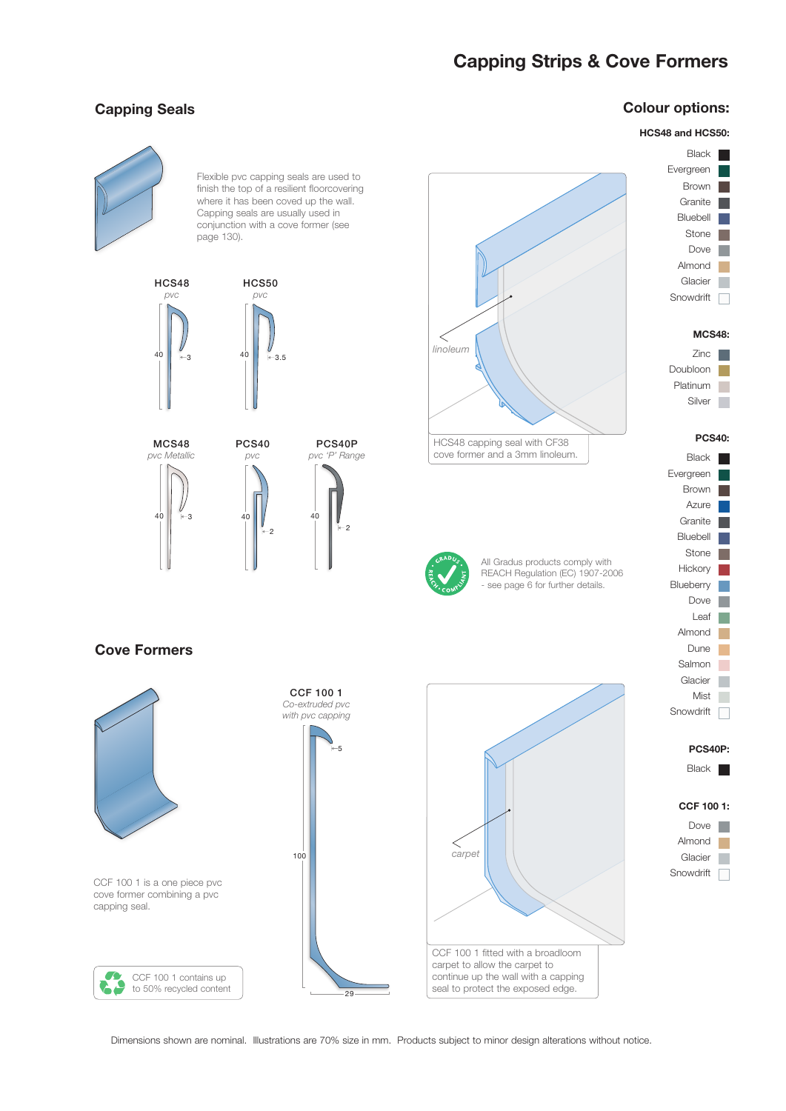## **Capping Strips & Cove Formers**

#### **Capping Seals**

### **Colour options:**

#### **HCS48 and HCS50:**

Black Evergreen Brown

**The Co** m.

**Tara**  $\mathbb{R}^n$  $\mathcal{C}^{\mathcal{A}}$  $\overline{\phantom{a}}$ 

Dove Stone Bluebell

Almond Glacier

Granite



Flexible pvc capping seals are used to finish the top of a resilient floorcovering where it has been coved up the wall. Capping seals are usually used in conjunction with a cove former (see page 130).







HCS48 capping seal with CF38 cove former and a 3mm linoleum.



All Gradus products comply with REACH Regulation (EC) 1907-2006 - see page 6 for further details.

### **Cove Formers**



| Snowdrift     |  |
|---------------|--|
| <b>MCS48:</b> |  |
| Zinc          |  |
| Doubloon      |  |
| Platinum      |  |
| Silver        |  |
|               |  |
|               |  |
| <b>PCS40:</b> |  |
| Black         |  |
| Evergreen     |  |
| <b>Brown</b>  |  |
| Azure         |  |
| Granite       |  |

**Hickory** Blueberry

Stone

 $\overline{\mathcal{L}}$  $\mathbb{R}^3$ 

m.  $\Box$  $\overline{\phantom{a}}$ 

 $\mathcal{L}_{\mathcal{A}}$  $\Box$ 

Dove

Leaf

Salmon

Glacier Mist Snowdrift **name** 

Almond Dune

**PCS40P:**

#### Black |

#### **CCF 100 1:**

Dove Almond **Ta** Glacier n Snowdrift |

Dimensions shown are nominal. Illustrations are 70% size in mm. Products subject to minor design alterations without notice.